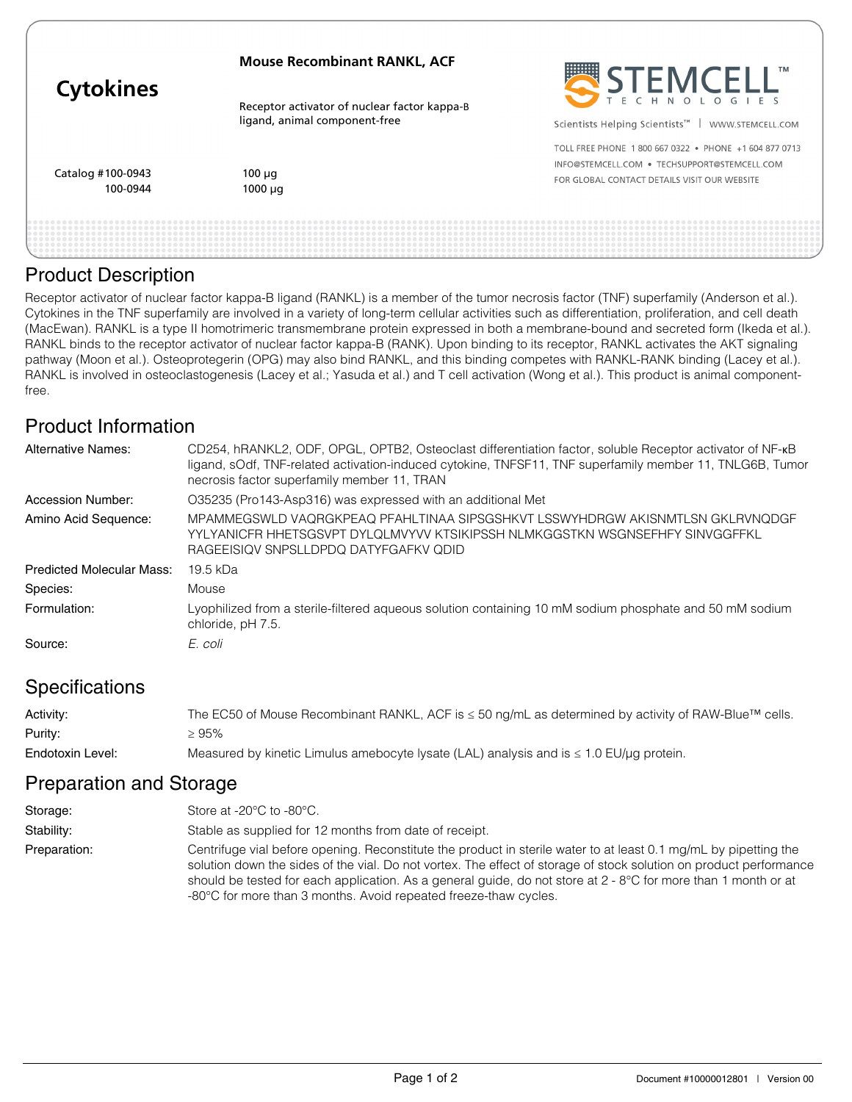| <b>Cytokines</b>              | <b>Mouse Recombinant RANKL, ACF</b>                                           | STEMCELL"                                                                                                                                              |
|-------------------------------|-------------------------------------------------------------------------------|--------------------------------------------------------------------------------------------------------------------------------------------------------|
|                               | Receptor activator of nuclear factor kappa-B<br>ligand, animal component-free | Scientists Helping Scientists <sup>™</sup><br>WWW.STEMCELL.COM                                                                                         |
| Catalog #100-0943<br>100-0944 | $100 \mu q$<br>$1000 \mu q$                                                   | TOLL FREE PHONE 1 800 667 0322 . PHONE +1 604 877 0713<br>INFO@STEMCELL.COM . TECHSUPPORT@STEMCELL.COM<br>FOR GLOBAL CONTACT DETAILS VISIT OUR WEBSITE |
|                               |                                                                               |                                                                                                                                                        |

#### Product Description

Receptor activator of nuclear factor kappa-B ligand (RANKL) is a member of the tumor necrosis factor (TNF) superfamily (Anderson et al.). Cytokines in the TNF superfamily are involved in a variety of long-term cellular activities such as differentiation, proliferation, and cell death (MacEwan). RANKL is a type II homotrimeric transmembrane protein expressed in both a membrane-bound and secreted form (Ikeda et al.). RANKL binds to the receptor activator of nuclear factor kappa-B (RANK). Upon binding to its receptor, RANKL activates the AKT signaling pathway (Moon et al.). Osteoprotegerin (OPG) may also bind RANKL, and this binding competes with RANKL-RANK binding (Lacey et al.). RANKL is involved in osteoclastogenesis (Lacey et al.; Yasuda et al.) and T cell activation (Wong et al.). This product is animal componentfree.

### Product Information

| <b>Alternative Names:</b>        | CD254, hRANKL2, ODF, OPGL, OPTB2, Osteoclast differentiation factor, soluble Receptor activator of NF-KB<br>ligand, sOdf, TNF-related activation-induced cytokine, TNFSF11, TNF superfamily member 11, TNLG6B, Tumor<br>necrosis factor superfamily member 11, TRAN |
|----------------------------------|---------------------------------------------------------------------------------------------------------------------------------------------------------------------------------------------------------------------------------------------------------------------|
| Accession Number:                | O35235 (Pro143-Asp316) was expressed with an additional Met                                                                                                                                                                                                         |
| Amino Acid Sequence:             | MPAMMEGSWLD VAQRGKPEAQ PFAHLTINAA SIPSGSHKVT LSSWYHDRGW AKISNMTLSN GKLRVNQDGF<br>YYLYANICFR HHETSGSVPT DYLQLMVYVV KTSIKIPSSH NLMKGGSTKN WSGNSEFHFY SINVGGFFKL<br>RAGEEISIQV SNPSLLDPDQ DATYFGAFKV QDID                                                              |
| <b>Predicted Molecular Mass:</b> | 19.5 kDa                                                                                                                                                                                                                                                            |
| Species:                         | Mouse                                                                                                                                                                                                                                                               |
| Formulation:                     | Lyophilized from a sterile-filtered aqueous solution containing 10 mM sodium phosphate and 50 mM sodium<br>chloride, pH 7.5.                                                                                                                                        |
| Source:                          | E. coli                                                                                                                                                                                                                                                             |

# Specifications

| Activity:        | The EC50 of Mouse Recombinant RANKL, ACF is $\leq$ 50 ng/mL as determined by activity of RAW-Blue <sup>TM</sup> cells. |
|------------------|------------------------------------------------------------------------------------------------------------------------|
| Purity:          | ≥ 95%                                                                                                                  |
| Endotoxin Level: | Measured by kinetic Limulus amebocyte lysate (LAL) analysis and is $\leq 1.0$ EU/ $\mu$ g protein.                     |

#### Preparation and Storage

| Storage:     | Store at -20 $\degree$ C to -80 $\degree$ C.                                                                                                                                                                                                                                                                                                                                                                                 |
|--------------|------------------------------------------------------------------------------------------------------------------------------------------------------------------------------------------------------------------------------------------------------------------------------------------------------------------------------------------------------------------------------------------------------------------------------|
| Stability:   | Stable as supplied for 12 months from date of receipt.                                                                                                                                                                                                                                                                                                                                                                       |
| Preparation: | Centrifuge vial before opening. Reconstitute the product in sterile water to at least 0.1 mg/mL by pipetting the<br>solution down the sides of the vial. Do not vortex. The effect of storage of stock solution on product performance<br>should be tested for each application. As a general guide, do not store at 2 - 8°C for more than 1 month or at<br>-80°C for more than 3 months. Avoid repeated freeze-thaw cycles. |